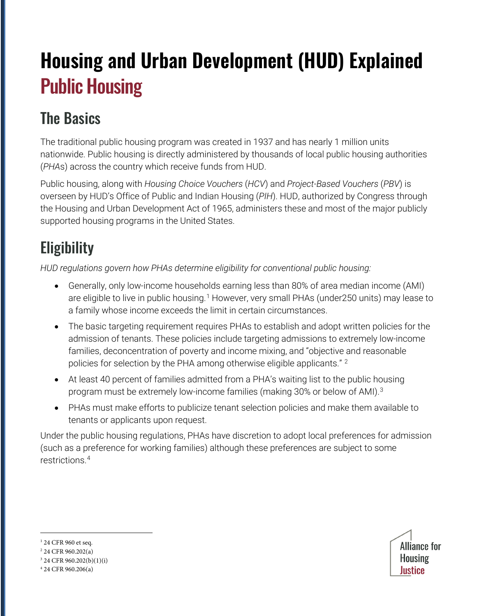# **Housing and Urban Development (HUD) Explained** Public Housing

## The Basics

The traditional public housing program was created in 1937 and has nearly 1 million units nationwide. Public housing is directly administered by thousands of local public housing authorities (*PHA*s) across the country which receive funds from HUD.

Public housing, along with *Housing Choice Vouchers* (*HCV*) and *Project-Based Vouchers* (*PBV*) is overseen by HUD's Office of Public and Indian Housing (*PIH*). HUD, authorized by Congress through the Housing and Urban Development Act of 1965, administers these and most of the major publicly supported housing programs in the United States.

# **Eligibility**

*HUD regulations govern how PHAs determine eligibility for conventional public housing:*

- Generally, only low-income households earning less than 80% of area median income (AMI) are eligible to live in public housing.<sup>[1](#page-0-0)</sup> However, very small PHAs (under250 units) may lease to a family whose income exceeds the limit in certain circumstances.
- The basic targeting requirement requires PHAs to establish and adopt written policies for the admission of tenants. These policies include targeting admissions to extremely low-income families, deconcentration of poverty and income mixing, and "objective and reasonable policies for selection by the PHA among otherwise eligible applicants." <sup>2</sup>
- At least 40 percent of families admitted from a PHA's waiting list to the public housing program must be extremely low-income families (making [3](#page-0-2)0% or below of AMI).<sup>3</sup>
- PHAs must make efforts to publicize tenant selection policies and make them available to tenants or applicants upon request.

Under the public housing regulations, PHAs have discretion to adopt local preferences for admission (such as a preference for working families) although these preferences are subject to some restrictions<sup>[4](#page-0-3)</sup>



<span id="page-0-0"></span><sup>&</sup>lt;sup>1</sup> 24 CFR 960 et seq.

<span id="page-0-1"></span><sup>2</sup> 24 CFR 960.202(a)

<span id="page-0-3"></span><span id="page-0-2"></span><sup>3</sup> 24 CFR 960.202(b)(1)(i) <sup>4</sup> 24 CFR 960.206(a)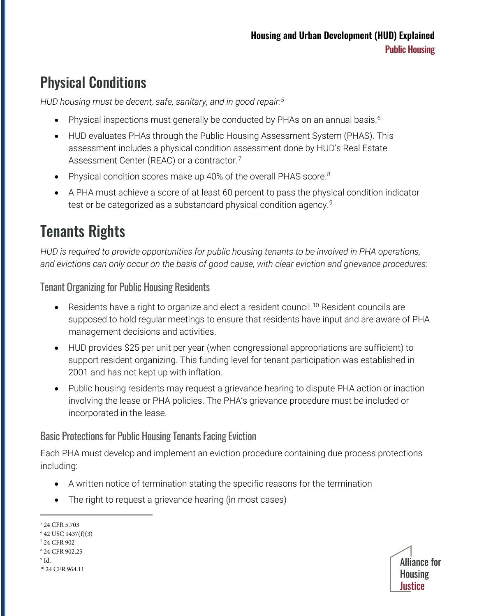#### Physical Conditions

*HUD housing must be decent, safe, sanitary, and in good repair: [5](#page-1-0)*

- Physical inspections must generally be conducted by PHAs on an annual basis.<sup>[6](#page-1-1)</sup>
- HUD evaluates PHAs through the Public Housing Assessment System (PHAS). This assessment includes a physical condition assessment done by HUD's Real Estate Assessment Center (REAC) or a contractor.<sup>[7](#page-1-2)</sup>
- Physical condition scores make up 40% of the overall PHAS score. $8$
- A PHA must achieve a score of at least 60 percent to pass the physical condition indicator test or be categorized as a substandard physical condition agency.<sup>[9](#page-1-4)</sup>

### Tenants Rights

*HUD is required to provide opportunities for public housing tenants to be involved in PHA operations, and evictions can only occur on the basis of good cause, with clear eviction and grievance procedures:*

Tenant Organizing for Public Housing Residents

- Residents have a right to organize and elect a resident council.<sup>[10](#page-1-5)</sup> Resident councils are supposed to hold regular meetings to ensure that residents have input and are aware of PHA management decisions and activities.
- HUD provides \$25 per unit per year (when congressional appropriations are sufficient) to support resident organizing. This funding level for tenant participation was established in 2001 and has not kept up with inflation.
- Public housing residents may request a grievance hearing to dispute PHA action or inaction involving the lease or PHA policies. The PHA's grievance procedure must be included or incorporated in the lease.

#### Basic Protections for Public Housing Tenants Facing Eviction

Each PHA must develop and implement an eviction procedure containing due process protections including:

- A written notice of termination stating the specific reasons for the termination
- The right to request a grievance hearing (in most cases)

<span id="page-1-1"></span><sup>6</sup> 42 USC 1437(f)(3)

- <span id="page-1-2"></span><sup>7</sup> 24 CFR 902 <sup>8</sup> 24 CFR 902.25
- <span id="page-1-4"></span><span id="page-1-3"></span> $5<sup>9</sup>$  Id.

<span id="page-1-5"></span><sup>10</sup> 24 CFR 964.11



<span id="page-1-0"></span><sup>5</sup> 24 CFR 5.703